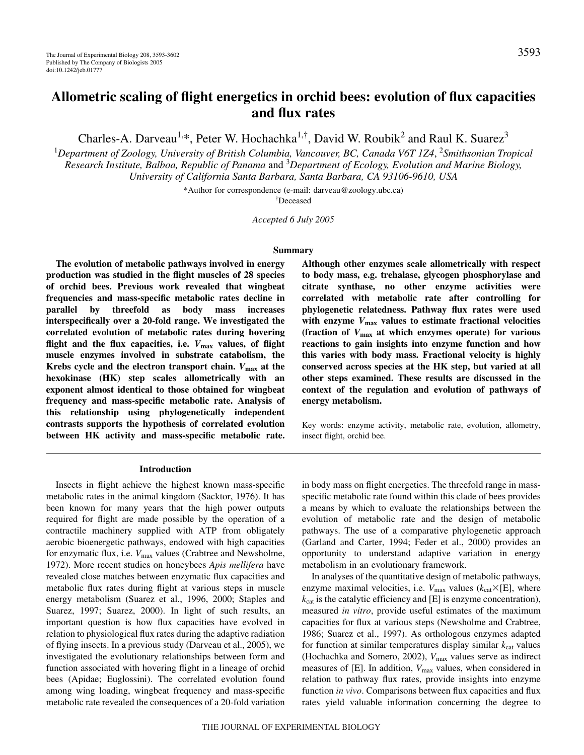# **Allometric scaling of flight energetics in orchid bees: evolution of flux capacities and flux rates**

Charles-A. Darveau<sup>1,\*</sup>, Peter W. Hochachka<sup>1,†</sup>, David W. Roubik<sup>2</sup> and Raul K. Suarez<sup>3</sup>

<sup>1</sup>Department of Zoology, University of British Columbia, Vancouver, BC, Canada V6T 1Z4, <sup>2</sup>Smithsonian Tropical *Research Institute, Balboa, Republic of Panama* and 3 *Department of Ecology, Evolution and Marine Biology, University of California Santa Barbara, Santa Barbara, CA 93106-9610, USA*

\*Author for correspondence (e-mail: darveau@zoology.ubc.ca)

† Deceased

*Accepted 6 July 2005*

#### **Summary**

**The evolution of metabolic pathways involved in energy production was studied in the flight muscles of 28 species of orchid bees. Previous work revealed that wingbeat frequencies and mass-specific metabolic rates decline in parallel by threefold as body mass increases interspecifically over a 20-fold range. We investigated the correlated evolution of metabolic rates during hovering flight and the flux capacities, i.e.** *V***max values, of flight muscle enzymes involved in substrate catabolism, the Krebs cycle and the electron transport chain.** *V***max at the hexokinase (HK) step scales allometrically with an exponent almost identical to those obtained for wingbeat frequency and mass-specific metabolic rate. Analysis of this relationship using phylogenetically independent contrasts supports the hypothesis of correlated evolution between HK activity and mass-specific metabolic rate.**

## **Introduction**

Insects in flight achieve the highest known mass-specific metabolic rates in the animal kingdom (Sacktor, 1976). It has been known for many years that the high power outputs required for flight are made possible by the operation of a contractile machinery supplied with ATP from obligately aerobic bioenergetic pathways, endowed with high capacities for enzymatic flux, i.e.  $V_{\text{max}}$  values (Crabtree and Newsholme, 1972). More recent studies on honeybees *Apis mellifera* have revealed close matches between enzymatic flux capacities and metabolic flux rates during flight at various steps in muscle energy metabolism (Suarez et al., 1996, 2000; Staples and Suarez, 1997; Suarez, 2000). In light of such results, an important question is how flux capacities have evolved in relation to physiological flux rates during the adaptive radiation of flying insects. In a previous study (Darveau et al., 2005), we investigated the evolutionary relationships between form and function associated with hovering flight in a lineage of orchid bees (Apidae; Euglossini). The correlated evolution found among wing loading, wingbeat frequency and mass-specific metabolic rate revealed the consequences of a 20-fold variation

**Although other enzymes scale allometrically with respect to body mass, e.g. trehalase, glycogen phosphorylase and citrate synthase, no other enzyme activities were correlated with metabolic rate after controlling for phylogenetic relatedness. Pathway flux rates were used** with enzyme  $V_{\text{max}}$  values to estimate fractional velocities **(fraction of** *V***max at which enzymes operate) for various reactions to gain insights into enzyme function and how this varies with body mass. Fractional velocity is highly conserved across species at the HK step, but varied at all other steps examined. These results are discussed in the context of the regulation and evolution of pathways of energy metabolism.**

Key words: enzyme activity, metabolic rate, evolution, allometry, insect flight, orchid bee.

in body mass on flight energetics. The threefold range in massspecific metabolic rate found within this clade of bees provides a means by which to evaluate the relationships between the evolution of metabolic rate and the design of metabolic pathways. The use of a comparative phylogenetic approach (Garland and Carter, 1994; Feder et al., 2000) provides an opportunity to understand adaptive variation in energy metabolism in an evolutionary framework.

In analyses of the quantitative design of metabolic pathways, enzyme maximal velocities, i.e.  $V_{\text{max}}$  values ( $k_{\text{cat}} \times [E]$ , where  $k_{\text{cat}}$  is the catalytic efficiency and [E] is enzyme concentration), measured *in vitro*, provide useful estimates of the maximum capacities for flux at various steps (Newsholme and Crabtree, 1986; Suarez et al., 1997). As orthologous enzymes adapted for function at similar temperatures display similar  $k_{cat}$  values (Hochachka and Somero, 2002), *V*max values serve as indirect measures of [E]. In addition,  $V_{\text{max}}$  values, when considered in relation to pathway flux rates, provide insights into enzyme function *in vivo*. Comparisons between flux capacities and flux rates yield valuable information concerning the degree to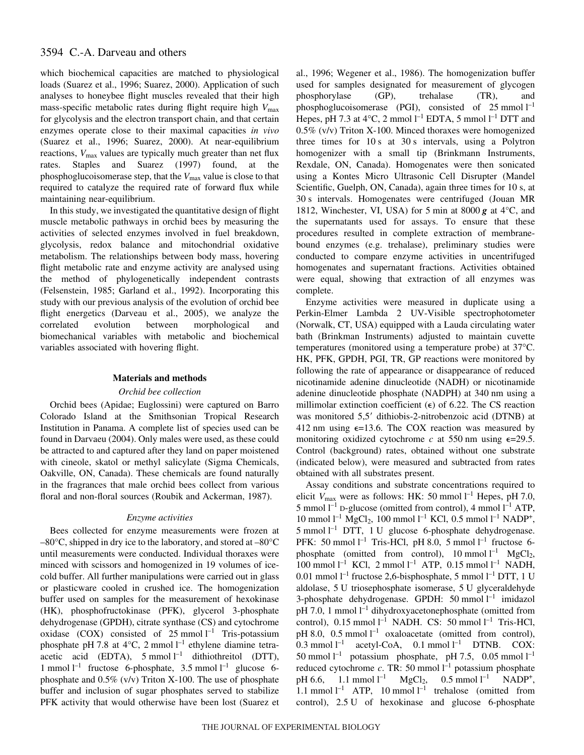# 3594 C.-A. Darveau and others

which biochemical capacities are matched to physiological loads (Suarez et al., 1996; Suarez, 2000). Application of such analyses to honeybee flight muscles revealed that their high mass-specific metabolic rates during flight require high  $V_{\text{max}}$ for glycolysis and the electron transport chain, and that certain enzymes operate close to their maximal capacities *in vivo* (Suarez et al., 1996; Suarez, 2000). At near-equilibrium reactions,  $V_{\text{max}}$  values are typically much greater than net flux rates. Staples and Suarez (1997) found, at the phosphoglucoisomerase step, that the *V*max value is close to that required to catalyze the required rate of forward flux while maintaining near-equilibrium.

In this study, we investigated the quantitative design of flight muscle metabolic pathways in orchid bees by measuring the activities of selected enzymes involved in fuel breakdown, glycolysis, redox balance and mitochondrial oxidative metabolism. The relationships between body mass, hovering flight metabolic rate and enzyme activity are analysed using the method of phylogenetically independent contrasts (Felsenstein, 1985; Garland et al., 1992). Incorporating this study with our previous analysis of the evolution of orchid bee flight energetics (Darveau et al., 2005), we analyze the correlated evolution between morphological and biomechanical variables with metabolic and biochemical variables associated with hovering flight.

# **Materials and methods**

## *Orchid bee collection*

Orchid bees (Apidae; Euglossini) were captured on Barro Colorado Island at the Smithsonian Tropical Research Institution in Panama. A complete list of species used can be found in Darvaeu (2004). Only males were used, as these could be attracted to and captured after they land on paper moistened with cineole, skatol or methyl salicylate (Sigma Chemicals, Oakville, ON, Canada). These chemicals are found naturally in the fragrances that male orchid bees collect from various floral and non-floral sources (Roubik and Ackerman, 1987).

# *Enzyme activities*

Bees collected for enzyme measurements were frozen at  $-80^{\circ}$ C, shipped in dry ice to the laboratory, and stored at  $-80^{\circ}$ C until measurements were conducted. Individual thoraxes were minced with scissors and homogenized in 19 volumes of icecold buffer. All further manipulations were carried out in glass or plasticware cooled in crushed ice. The homogenization buffer used on samples for the measurement of hexokinase (HK), phosphofructokinase (PFK), glycerol 3-phosphate dehydrogenase (GPDH), citrate synthase (CS) and cytochrome oxidase (COX) consisted of  $25 \text{ mmol } l^{-1}$  Tris-potassium phosphate pH 7.8 at  $4^{\circ}$ C, 2 mmol  $1^{-1}$  ethylene diamine tetraacetic acid (EDTA),  $5 \text{ mmol } l^{-1}$  dithiothreitol (DTT), 1 mmol  $l^{-1}$  fructose 6-phosphate, 3.5 mmol  $l^{-1}$  glucose 6phosphate and  $0.5\%$  (v/v) Triton X-100. The use of phosphate buffer and inclusion of sugar phosphates served to stabilize PFK activity that would otherwise have been lost (Suarez et

al., 1996; Wegener et al., 1986). The homogenization buffer used for samples designated for measurement of glycogen phosphorylase (GP), trehalase (TR), and phosphoglucoisomerase (PGI), consisted of  $25 \text{ mmol } l^{-1}$ Hepes, pH 7.3 at 4 $^{\circ}$ C, 2 mmol l<sup>-1</sup> EDTA, 5 mmol l<sup>-1</sup> DTT and 0.5% (v/v) Triton X-100. Minced thoraxes were homogenized three times for  $10 s$  at  $30 s$  intervals, using a Polytron homogenizer with a small tip (Brinkmann Instruments, Rexdale, ON, Canada). Homogenates were then sonicated using a Kontes Micro Ultrasonic Cell Disrupter (Mandel Scientific, Guelph, ON, Canada), again three times for 10 s, at 30 s intervals. Homogenates were centrifuged (Jouan MR 1812, Winchester, VI, USA) for 5 min at 8000  *at 4* $\rm{°C}$ *, and* the supernatants used for assays. To ensure that these procedures resulted in complete extraction of membranebound enzymes (e.g. trehalase), preliminary studies were conducted to compare enzyme activities in uncentrifuged homogenates and supernatant fractions. Activities obtained were equal, showing that extraction of all enzymes was complete.

Enzyme activities were measured in duplicate using a Perkin-Elmer Lambda 2 UV-Visible spectrophotometer (Norwalk, CT, USA) equipped with a Lauda circulating water bath (Brinkman Instruments) adjusted to maintain cuvette temperatures (monitored using a temperature probe) at 37°C. HK, PFK, GPDH, PGI, TR, GP reactions were monitored by following the rate of appearance or disappearance of reduced nicotinamide adenine dinucleotide (NADH) or nicotinamide adenine dinucleotide phosphate (NADPH) at 340 nm using a millimolar extinction coefficient ( $\epsilon$ ) of 6.22. The CS reaction was monitored 5,5' dithiobis-2-nitrobenzoic acid (DTNB) at 412 nm using  $\epsilon$ =13.6. The COX reaction was measured by monitoring oxidized cytochrome  $c$  at 550 nm using  $\epsilon$ =29.5. Control (background) rates, obtained without one substrate (indicated below), were measured and subtracted from rates obtained with all substrates present.

Assay conditions and substrate concentrations required to elicit  $V_{\text{max}}$  were as follows: HK: 50 mmol  $l^{-1}$  Hepes, pH 7.0, 5 mmol  $l^{-1}$  D-glucose (omitted from control), 4 mmol  $l^{-1}$  ATP, 10 mmol  $l^{-1}$  MgCl<sub>2</sub>, 100 mmol  $l^{-1}$  KCl, 0.5 mmol  $l^{-1}$  NADP<sup>+</sup>,  $5 \text{ mmol } l^{-1}$  DTT, 1 U glucose 6-phosphate dehydrogenase. PFK: 50 mmol  $l^{-1}$  Tris-HCl, pH 8.0, 5 mmol  $l^{-1}$  fructose 6phosphate (omitted from control),  $10 \text{ mmol } l^{-1}$  MgCl<sub>2</sub>,  $100$  mmol  $l^{-1}$  KCl, 2 mmol  $l^{-1}$  ATP, 0.15 mmol  $l^{-1}$  NADH, 0.01 mmol  $l^{-1}$  fructose 2,6-bisphosphate, 5 mmol  $l^{-1}$  DTT, 1 U aldolase, 5 U triosephosphate isomerase, 5 U glyceraldehyde 3-phosphate dehydrogenase. GPDH:  $50 \text{ mmol } l^{-1}$  imidazol pH 7.0, 1 mmol  $l^{-1}$  dihydroxyacetonephosphate (omitted from control),  $0.15$  mmol  $l^{-1}$  NADH. CS: 50 mmol  $l^{-1}$  Tris-HCl, pH 8.0, 0.5 mmol  $l^{-1}$  oxaloacetate (omitted from control), 0.3 mmol  $l^{-1}$  acetyl-CoA, 0.1 mmol  $l^{-1}$  DTNB. COX: 50 mmol  $l^{-1}$  potassium phosphate, pH 7.5, 0.05 mmol  $l^{-1}$ reduced cytochrome  $c$ . TR: 50 mmol  $l^{-1}$  potassium phosphate pH 6.6, 1.1 mmol  $l^{-1}$  MgCl<sub>2</sub>, 0.5 mmol  $l^{-1}$  NADP<sup>+</sup>, 1.1 mmol  $l^{-1}$  ATP, 10 mmol  $l^{-1}$  trehalose (omitted from control), 2.5 U of hexokinase and glucose 6-phosphate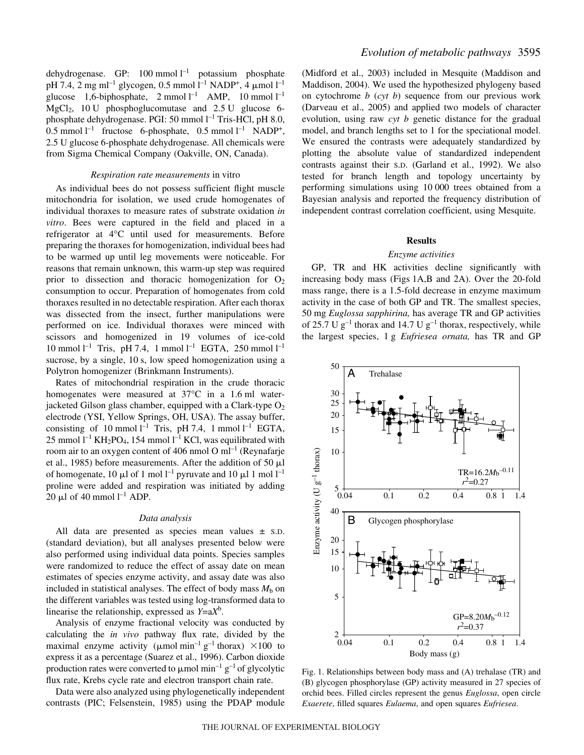dehydrogenase. GP:  $100 \text{ mmol } l^{-1}$  potassium phosphate pH 7.4, 2 mg ml<sup>-1</sup> glycogen, 0.5 mmol l<sup>-1</sup> NADP<sup>+</sup>, 4 µmol l<sup>-1</sup> glucose 1,6-biphosphate,  $2 \text{ mmol } l^{-1}$  AMP,  $10 \text{ mmol } l^{-1}$  $MgCl<sub>2</sub>$ , 10 U phosphoglucomutase and 2.5 U glucose 6phosphate dehydrogenase. PGI: 50 mmol l<sup>-1</sup> Tris-HCl, pH 8.0, 0.5 mmol  $l^{-1}$  fructose 6-phosphate, 0.5 mmol  $l^{-1}$  NADP<sup>+</sup>, 2.5 U glucose 6-phosphate dehydrogenase. All chemicals were from Sigma Chemical Company (Oakville, ON, Canada).

#### *Respiration rate measurements* in vitro

As individual bees do not possess sufficient flight muscle mitochondria for isolation, we used crude homogenates of individual thoraxes to measure rates of substrate oxidation *in vitro*. Bees were captured in the field and placed in a refrigerator at 4°C until used for measurements. Before preparing the thoraxes for homogenization, individual bees had to be warmed up until leg movements were noticeable. For reasons that remain unknown, this warm-up step was required prior to dissection and thoracic homogenization for  $O_2$ consumption to occur. Preparation of homogenates from cold thoraxes resulted in no detectable respiration. After each thorax was dissected from the insect, further manipulations were performed on ice. Individual thoraxes were minced with scissors and homogenized in 19 volumes of ice-cold  $10 \text{ mmol } l^{-1}$  Tris, pH 7.4, 1 mmol  $l^{-1}$  EGTA, 250 mmol  $l^{-1}$ sucrose, by a single, 10 s, low speed homogenization using a Polytron homogenizer (Brinkmann Instruments).

Rates of mitochondrial respiration in the crude thoracic homogenates were measured at  $37^{\circ}$ C in a 1.6 ml waterjacketed Gilson glass chamber, equipped with a Clark-type  $O_2$ electrode (YSI, Yellow Springs, OH, USA). The assay buffer, consisting of 10 mmol  $l^{-1}$  Tris, pH 7.4, 1 mmol  $l^{-1}$  EGTA, 25 mmol  $l^{-1}$  KH<sub>2</sub>PO<sub>4</sub>, 154 mmol  $l^{-1}$  KCl, was equilibrated with room air to an oxygen content of 406 nmol O  $ml^{-1}$  (Reynafarje et al., 1985) before measurements. After the addition of 50  $\mu$ l of homogenate, 10  $\mu$ l of 1 mol l<sup>-1</sup> pyruvate and 10  $\mu$ l 1 mol l<sup>-1</sup> proline were added and respiration was initiated by adding 20  $\mu$ l of 40 mmol l<sup>-1</sup> ADP.

#### *Data analysis*

All data are presented as species mean values ± S.D. (standard deviation), but all analyses presented below were also performed using individual data points. Species samples were randomized to reduce the effect of assay date on mean estimates of species enzyme activity, and assay date was also included in statistical analyses. The effect of body mass  $M<sub>b</sub>$  on the different variables was tested using log-transformed data to linearise the relationship, expressed as *Y*=a*X*<sup>b</sup> .

Analysis of enzyme fractional velocity was conducted by calculating the *in vivo* pathway flux rate, divided by the maximal enzyme activity ( $\mu$ mol min<sup>-1</sup> g<sup>-1</sup> thorax) ×100 to express it as a percentage (Suarez et al., 1996). Carbon dioxide production rates were converted to  $\mu$ mol min<sup>-1</sup> g<sup>-1</sup> of glycolytic flux rate, Krebs cycle rate and electron transport chain rate.

Data were also analyzed using phylogenetically independent contrasts (PIC; Felsenstein, 1985) using the PDAP module (Midford et al., 2003) included in Mesquite (Maddison and Maddison, 2004). We used the hypothesized phylogeny based on cytochrome *b* (*cyt b*) sequence from our previous work (Darveau et al., 2005) and applied two models of character evolution, using raw *cyt b* genetic distance for the gradual model, and branch lengths set to 1 for the speciational model. We ensured the contrasts were adequately standardized by plotting the absolute value of standardized independent contrasts against their S.D. (Garland et al., 1992). We also tested for branch length and topology uncertainty by performing simulations using 10 000 trees obtained from a Bayesian analysis and reported the frequency distribution of independent contrast correlation coefficient, using Mesquite.

## **Results**

#### *Enzyme activities*

GP, TR and HK activities decline significantly with increasing body mass (Figs 1A,B and 2A). Over the 20-fold mass range, there is a 1.5-fold decrease in enzyme maximum activity in the case of both GP and TR. The smallest species, 50 mg *Euglossa sapphirina*, has average TR and GP activities of 25.7 U  $g^{-1}$  thorax and 14.7 U  $g^{-1}$  thorax, respectively, while the largest species, 1 g *Eufriesea ornata*, has TR and GP



Fig. 1. Relationships between body mass and (A) trehalase (TR) and (B) glycogen phosphorylase (GP) activity measured in 27 species of orchid bees. Filled circles represent the genus *Euglossa*, open circle *Exaerete*, filled squares *Eulaema*, and open squares *Eufriesea*.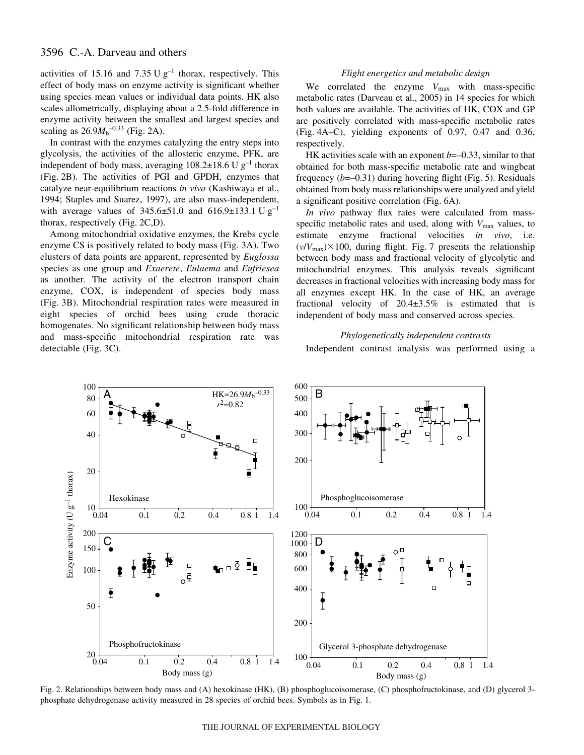# 3596 C.-A. Darveau and others

activities of 15.16 and 7.35 U  $g^{-1}$  thorax, respectively. This effect of body mass on enzyme activity is significant whether using species mean values or individual data points. HK also scales allometrically, displaying about a 2.5-fold difference in enzyme activity between the smallest and largest species and scaling as  $26.9M_b^{-0.33}$  (Fig. 2A).

In contrast with the enzymes catalyzing the entry steps into glycolysis, the activities of the allosteric enzyme, PFK, are independent of body mass, averaging  $108.2\pm18.6$  U g<sup>-1</sup> thorax (Fig. 2B). The activities of PGI and GPDH, enzymes that catalyze near-equilibrium reactions *in vivo* (Kashiwaya et al., 1994; Staples and Suarez, 1997), are also mass-independent, with average values of  $345.6 \pm 51.0$  and  $616.9 \pm 133.1$  U g<sup>-1</sup> thorax, respectively (Fig.  $2C,D$ ).

Among mitochondrial oxidative enzymes, the Krebs cycle enzyme CS is positively related to body mass (Fig. 3A). Two clusters of data points are apparent, represented by *Euglossa* species as one group and *Exaerete*, *Eulaema* and *Eufriesea* as another. The activity of the electron transport chain enzyme, COX, is independent of species body mass (Fig. 3B). Mitochondrial respiration rates were measured in eight species of orchid bees using crude thoracic homogenates. No significant relationship between body mass and mass-specific mitochondrial respiration rate was detectable (Fig. 3C).

# *Flight energetics and metabolic design*

We correlated the enzyme  $V_{\text{max}}$  with mass-specific metabolic rates (Darveau et al., 2005) in 14 species for which both values are available. The activities of HK, COX and GP are positively correlated with mass-specific metabolic rates (Fig.  $4A-C$ ), yielding exponents of 0.97, 0.47 and 0.36, respectively.

HK activities scale with an exponent *b*=–0.33, similar to that obtained for both mass-specific metabolic rate and wingbeat frequency  $(b=-0.31)$  during hovering flight (Fig. 5). Residuals obtained from body mass relationships were analyzed and yield a significant positive correlation (Fig. 6A).

*In vivo* pathway flux rates were calculated from massspecific metabolic rates and used, along with  $V_{\text{max}}$  values, to estimate enzyme fractional velocities *in vivo*, i.e.  $(v/V_{\text{max}}) \times 100$ , during flight. Fig. 7 presents the relationship between body mass and fractional velocity of glycolytic and mitochondrial enzymes. This analysis reveals significant decreases in fractional velocities with increasing body mass for all enzymes except HK. In the case of HK, an average fractional velocity of 20.4±3.5% is estimated that is independent of body mass and conserved across species.

# *Phylogenetically independent contrasts*

Independent contrast analysis was performed using a



Fig. 2. Relationships between body mass and (A) hexokinase (HK), (B) phosphoglucoisomerase, (C) phosphofructokinase, and (D) glycerol 3phosphate dehydrogenase activity measured in 28 species of orchid bees. Symbols as in Fig. 1.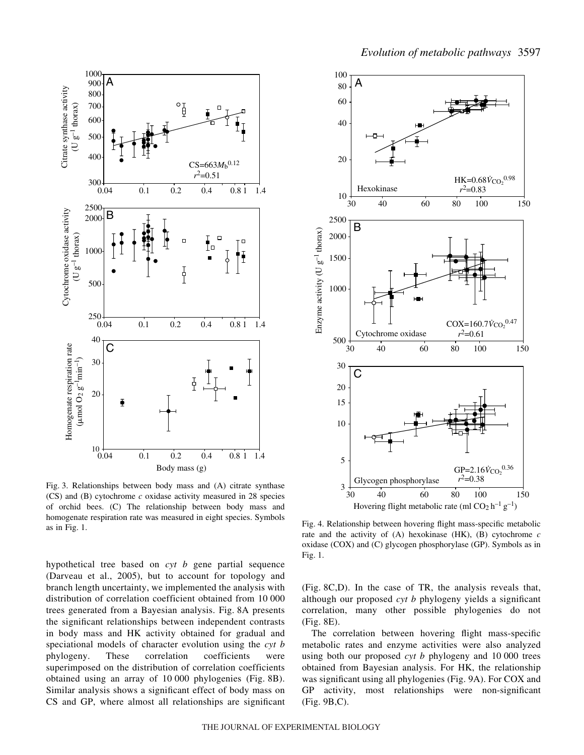



Fig. 3. Relationships between body mass and (A) citrate synthase (CS) and (B) cytochrome *c* oxidase activity measured in 28 species of orchid bees. (C) The relationship between body mass and homogenate respiration rate was measured in eight species. Symbols as in Fig. 1.

hypothetical tree based on *cyt b* gene partial sequence (Darveau et al., 2005), but to account for topology and branch length uncertainty, we implemented the analysis with distribution of correlation coefficient obtained from 10 000 trees generated from a Bayesian analysis. Fig. 8A presents the significant relationships between independent contrasts in body mass and HK activity obtained for gradual and speciational models of character evolution using the *cyt b* phylogeny. These correlation coefficients were superimposed on the distribution of correlation coefficients obtained using an array of  $10\,000$  phylogenies (Fig. 8B). Similar analysis shows a significant effect of body mass on CS and GP, where almost all relationships are significant



Fig. 4. Relationship between hovering flight mass-specific metabolic rate and the activity of (A) hexokinase (HK), (B) cytochrome *c* oxidase (COX) and (C) glycogen phosphorylase (GP). Symbols as in Fig. 1.

(Fig.·8C,D). In the case of TR, the analysis reveals that, although our proposed *cyt b* phylogeny yields a significant correlation, many other possible phylogenies do not  $(Fig. 8E)$ .

The correlation between hovering flight mass-specific metabolic rates and enzyme activities were also analyzed using both our proposed *cyt b* phylogeny and 10 000 trees obtained from Bayesian analysis. For HK, the relationship was significant using all phylogenies (Fig. 9A). For COX and GP activity, most relationships were non-significant  $(Fig. 9B,C).$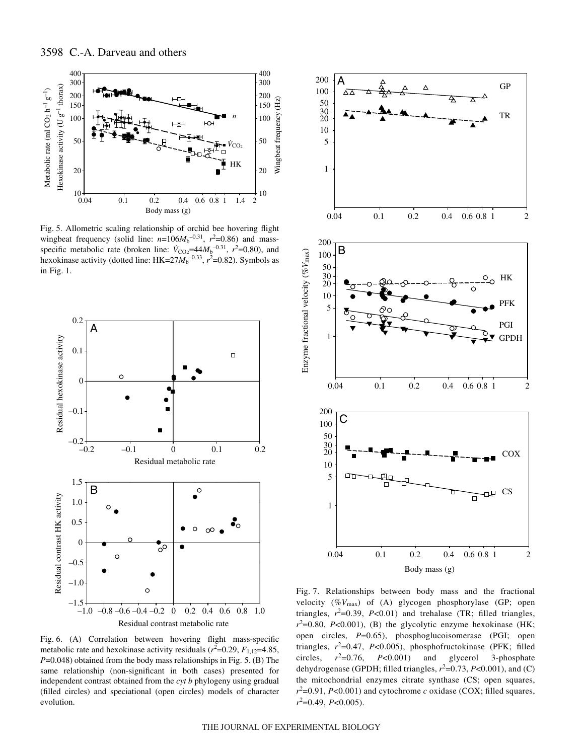



Fig. 5. Allometric scaling relationship of orchid bee hovering flight wingbeat frequency (solid line:  $n=106M_b^{-0.31}$ ,  $r^2=0.86$ ) and massspecific metabolic rate (broken line:  $\dot{V}_{\text{CO}_2}$ =44 $M_b$ <sup>-0.31</sup>,  $r^2$ =0.80), and hexokinase activity (dotted line:  $HK = 27M_b^{-0.33}$ ,  $r^2 = 0.82$ ). Symbols as in Fig.  $1$ .



Fig. 6. (A) Correlation between hovering flight mass-specific metabolic rate and hexokinase activity residuals  $(r^2=0.29, F_{1,12}=4.85,$ *P*=0.048) obtained from the body mass relationships in Fig. 5. (B) The same relationship (non-significant in both cases) presented for independent contrast obtained from the *cyt b* phylogeny using gradual (filled circles) and speciational (open circles) models of character evolution.



Fig. 7. Relationships between body mass and the fractional velocity (%*V*max) of (A) glycogen phosphorylase (GP; open triangles,  $r^2=0.39$ ,  $P<0.01$ ) and trehalase (TR; filled triangles,  $r^2$ =0.80, *P*<0.001), (B) the glycolytic enzyme hexokinase (HK; open circles, *P*=0.65), phosphoglucoisomerase (PGI; open triangles,  $r^2$ =0.47, *P*<0.005), phosphofructokinase (PFK; filled circles,  $r^2 = 0.76$ , P<0.001) and glycerol 3-phosphate dehydrogenase (GPDH; filled triangles,  $r^2$ =0.73,  $P$ <0.001), and (C) the mitochondrial enzymes citrate synthase (CS; open squares,  $r^2$ =0.91, *P*<0.001) and cytochrome *c* oxidase (COX; filled squares, *r*2 =0.49, *P*<0.005).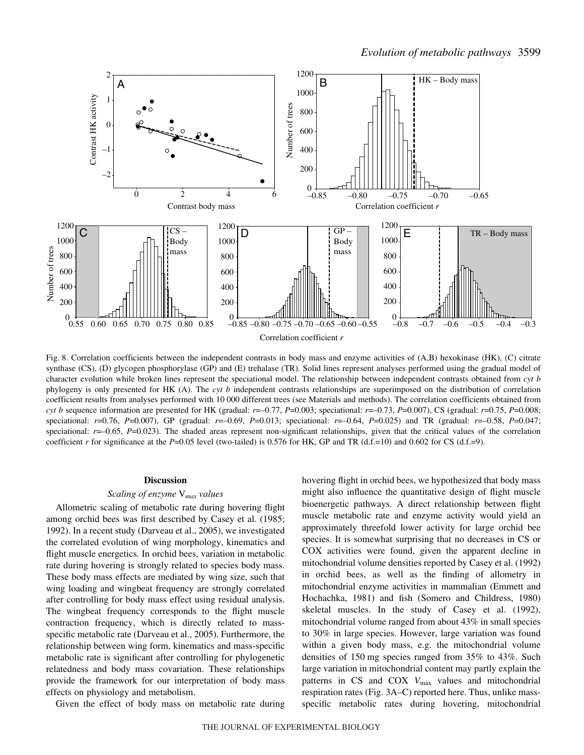

Fig. 8. Correlation coefficients between the independent contrasts in body mass and enzyme activities of (A,B) hexokinase (HK), (C) citrate synthase (CS), (D) glycogen phosphorylase (GP) and (E) trehalase (TR). Solid lines represent analyses performed using the gradual model of character evolution while broken lines represent the speciational model. The relationship between independent contrasts obtained from *cyt b* phylogeny is only presented for HK (A). The *cyt b* independent contrasts relationships are superimposed on the distribution of correlation coefficient results from analyses performed with 10·000 different trees (see Materials and methods). The correlation coefficients obtained from *cyt b* sequence information are presented for HK (gradual: *r*=–0.77, *P*=0.003; speciational: *r*=–0.73, *P*=0.007), CS (gradual: *r*=0.75, *P*=0.008; speciational:  $r=0.76$ ,  $P=0.007$ ), GP (gradual:  $r=-0.69$ ,  $P=0.013$ ; speciational:  $r=-0.64$ ,  $P=0.025$ ) and TR (gradual:  $r=-0.58$ ,  $P=0.047$ ; speciational:  $r=-0.65$ ,  $P=0.023$ ). The shaded areas represent non-significant relationships, given that the critical values of the correlation coefficient *r* for significance at the *P*=0.05 level (two-tailed) is 0.576 for HK, GP and TR (d.f.=10) and 0.602 for CS (d.f.=9).

#### **Discussion**

#### *Scaling of enzyme* V*max values*

Allometric scaling of metabolic rate during hovering flight among orchid bees was first described by Casey et al. (1985; 1992). In a recent study (Darveau et al., 2005), we investigated the correlated evolution of wing morphology, kinematics and flight muscle energetics. In orchid bees, variation in metabolic rate during hovering is strongly related to species body mass. These body mass effects are mediated by wing size, such that wing loading and wingbeat frequency are strongly correlated after controlling for body mass effect using residual analysis. The wingbeat frequency corresponds to the flight muscle contraction frequency, which is directly related to massspecific metabolic rate (Darveau et al., 2005). Furthermore, the relationship between wing form, kinematics and mass-specific metabolic rate is significant after controlling for phylogenetic relatedness and body mass covariation. These relationships provide the framework for our interpretation of body mass effects on physiology and metabolism.

Given the effect of body mass on metabolic rate during

hovering flight in orchid bees, we hypothesized that body mass might also influence the quantitative design of flight muscle bioenergetic pathways. A direct relationship between flight muscle metabolic rate and enzyme activity would yield an approximately threefold lower activity for large orchid bee species. It is somewhat surprising that no decreases in CS or COX activities were found, given the apparent decline in mitochondrial volume densities reported by Casey et al. (1992) in orchid bees, as well as the finding of allometry in mitochondrial enzyme activities in mammalian (Emmett and Hochachka, 1981) and fish (Somero and Childress, 1980) skeletal muscles. In the study of Casey et al. (1992), mitochondrial volume ranged from about 43% in small species to 30% in large species. However, large variation was found within a given body mass, e.g. the mitochondrial volume densities of 150 mg species ranged from  $35\%$  to  $43\%$ . Such large variation in mitochondrial content may partly explain the patterns in CS and COX  $V_{\text{max}}$  values and mitochondrial respiration rates (Fig. 3A–C) reported here. Thus, unlike massspecific metabolic rates during hovering, mitochondrial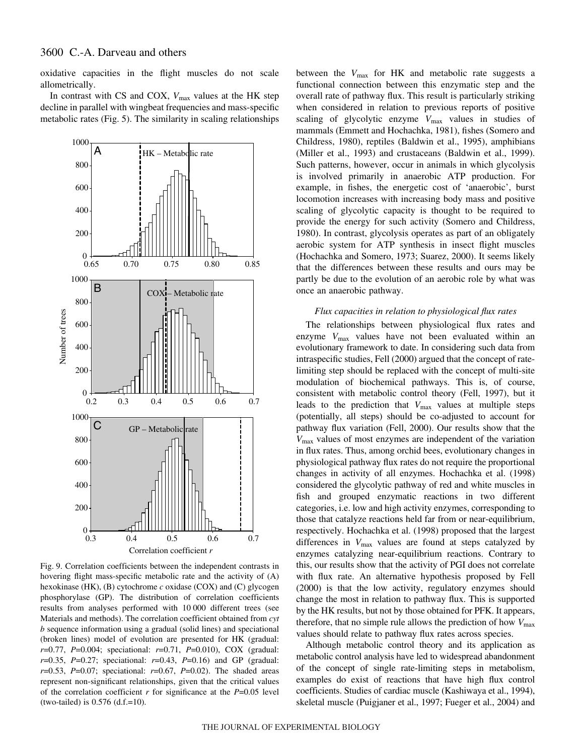oxidative capacities in the flight muscles do not scale allometrically.

In contrast with CS and COX,  $V_{\text{max}}$  values at the HK step decline in parallel with wingbeat frequencies and mass-specific metabolic rates (Fig. 5). The similarity in scaling relationships



Fig. 9. Correlation coefficients between the independent contrasts in hovering flight mass-specific metabolic rate and the activity of (A) hexokinase (HK), (B) cytochrome *c* oxidase (COX) and (C) glycogen phosphorylase (GP). The distribution of correlation coefficients results from analyses performed with 10000 different trees (see Materials and methods). The correlation coefficient obtained from *cyt b* sequence information using a gradual (solid lines) and speciational (broken lines) model of evolution are presented for HK (gradual: *r*=0.77, *P*=0.004; speciational: *r*=0.71, *P*=0.010), COX (gradual: *r*=0.35, *P*=0.27; speciational: *r*=0.43, *P*=0.16) and GP (gradual: *r*=0.53, *P*=0.07; speciational: *r*=0.67, *P*=0.02). The shaded areas represent non-significant relationships, given that the critical values of the correlation coefficient *r* for significance at the *P*=0.05 level  $(two-tailed)$  is 0.576  $(d.f.=10)$ .

between the  $V_{\text{max}}$  for HK and metabolic rate suggests a functional connection between this enzymatic step and the overall rate of pathway flux. This result is particularly striking when considered in relation to previous reports of positive scaling of glycolytic enzyme  $V_{\text{max}}$  values in studies of mammals (Emmett and Hochachka, 1981), fishes (Somero and Childress, 1980), reptiles (Baldwin et al., 1995), amphibians (Miller et al., 1993) and crustaceans (Baldwin et al., 1999). Such patterns, however, occur in animals in which glycolysis is involved primarily in anaerobic ATP production. For example, in fishes, the energetic cost of 'anaerobic', burst locomotion increases with increasing body mass and positive scaling of glycolytic capacity is thought to be required to provide the energy for such activity (Somero and Childress, 1980). In contrast, glycolysis operates as part of an obligately aerobic system for ATP synthesis in insect flight muscles (Hochachka and Somero, 1973; Suarez, 2000). It seems likely that the differences between these results and ours may be partly be due to the evolution of an aerobic role by what was once an anaerobic pathway.

#### *Flux capacities in relation to physiological flux rates*

The relationships between physiological flux rates and enzyme  $V_{\text{max}}$  values have not been evaluated within an evolutionary framework to date. In considering such data from intraspecific studies, Fell (2000) argued that the concept of ratelimiting step should be replaced with the concept of multi-site modulation of biochemical pathways. This is, of course, consistent with metabolic control theory (Fell, 1997), but it leads to the prediction that  $V_{\text{max}}$  values at multiple steps (potentially, all steps) should be co-adjusted to account for pathway flux variation (Fell, 2000). Our results show that the *V*max values of most enzymes are independent of the variation in flux rates. Thus, among orchid bees, evolutionary changes in physiological pathway flux rates do not require the proportional changes in activity of all enzymes. Hochachka et al. (1998) considered the glycolytic pathway of red and white muscles in fish and grouped enzymatic reactions in two different categories, i.e. low and high activity enzymes, corresponding to those that catalyze reactions held far from or near-equilibrium, respectively. Hochachka et al. (1998) proposed that the largest differences in *V*max values are found at steps catalyzed by enzymes catalyzing near-equilibrium reactions. Contrary to this, our results show that the activity of PGI does not correlate with flux rate. An alternative hypothesis proposed by Fell (2000) is that the low activity, regulatory enzymes should change the most in relation to pathway flux. This is supported by the HK results, but not by those obtained for PFK. It appears, therefore, that no simple rule allows the prediction of how  $V_{\text{max}}$ values should relate to pathway flux rates across species.

Although metabolic control theory and its application as metabolic control analysis have led to widespread abandonment of the concept of single rate-limiting steps in metabolism, examples do exist of reactions that have high flux control coefficients. Studies of cardiac muscle (Kashiwaya et al., 1994), skeletal muscle (Puigjaner et al., 1997; Fueger et al., 2004) and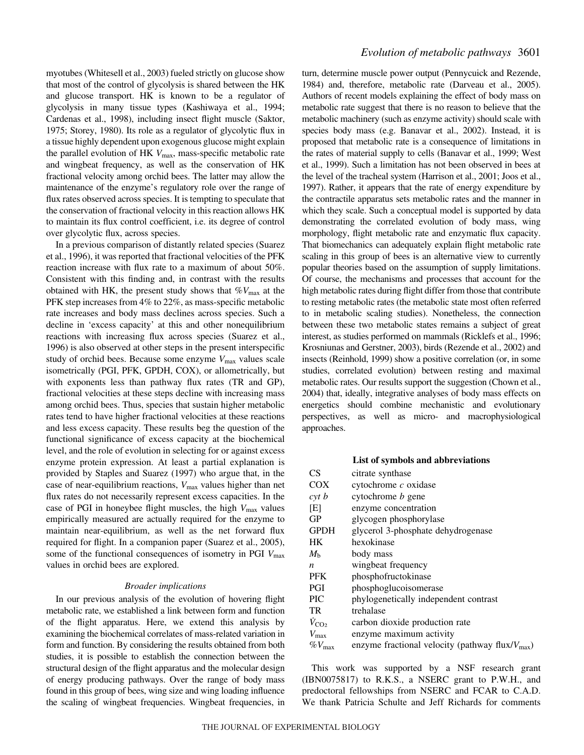myotubes (Whitesell et al., 2003) fueled strictly on glucose show that most of the control of glycolysis is shared between the HK and glucose transport. HK is known to be a regulator of glycolysis in many tissue types (Kashiwaya et al., 1994; Cardenas et al., 1998), including insect flight muscle (Saktor, 1975; Storey, 1980). Its role as a regulator of glycolytic flux in a tissue highly dependent upon exogenous glucose might explain the parallel evolution of HK  $V_{\text{max}}$ , mass-specific metabolic rate and wingbeat frequency, as well as the conservation of HK fractional velocity among orchid bees. The latter may allow the maintenance of the enzyme's regulatory role over the range of flux rates observed across species. It is tempting to speculate that the conservation of fractional velocity in this reaction allows HK to maintain its flux control coefficient, i.e. its degree of control over glycolytic flux, across species.

In a previous comparison of distantly related species (Suarez et al., 1996), it was reported that fractional velocities of the PFK reaction increase with flux rate to a maximum of about 50%. Consistent with this finding and, in contrast with the results obtained with HK, the present study shows that  $\%V_{\text{max}}$  at the PFK step increases from 4% to 22%, as mass-specific metabolic rate increases and body mass declines across species. Such a decline in 'excess capacity' at this and other nonequilibrium reactions with increasing flux across species (Suarez et al., 1996) is also observed at other steps in the present interspecific study of orchid bees. Because some enzyme  $V_{\text{max}}$  values scale isometrically (PGI, PFK, GPDH, COX), or allometrically, but with exponents less than pathway flux rates (TR and GP), fractional velocities at these steps decline with increasing mass among orchid bees. Thus, species that sustain higher metabolic rates tend to have higher fractional velocities at these reactions and less excess capacity. These results beg the question of the functional significance of excess capacity at the biochemical level, and the role of evolution in selecting for or against excess enzyme protein expression. At least a partial explanation is provided by Staples and Suarez (1997) who argue that, in the case of near-equilibrium reactions, *V*max values higher than net flux rates do not necessarily represent excess capacities. In the case of PGI in honeybee flight muscles, the high  $V_{\text{max}}$  values empirically measured are actually required for the enzyme to maintain near-equilibrium, as well as the net forward flux required for flight. In a companion paper (Suarez et al., 2005), some of the functional consequences of isometry in PGI  $V_{\text{max}}$ values in orchid bees are explored.

# *Broader implications*

In our previous analysis of the evolution of hovering flight metabolic rate, we established a link between form and function of the flight apparatus. Here, we extend this analysis by examining the biochemical correlates of mass-related variation in form and function. By considering the results obtained from both studies, it is possible to establish the connection between the structural design of the flight apparatus and the molecular design of energy producing pathways. Over the range of body mass found in this group of bees, wing size and wing loading influence the scaling of wingbeat frequencies. Wingbeat frequencies, in turn, determine muscle power output (Pennycuick and Rezende, 1984) and, therefore, metabolic rate (Darveau et al., 2005). Authors of recent models explaining the effect of body mass on metabolic rate suggest that there is no reason to believe that the metabolic machinery (such as enzyme activity) should scale with species body mass (e.g. Banavar et al., 2002). Instead, it is proposed that metabolic rate is a consequence of limitations in the rates of material supply to cells (Banavar et al., 1999; West et al., 1999). Such a limitation has not been observed in bees at the level of the tracheal system (Harrison et al., 2001; Joos et al., 1997). Rather, it appears that the rate of energy expenditure by the contractile apparatus sets metabolic rates and the manner in which they scale. Such a conceptual model is supported by data demonstrating the correlated evolution of body mass, wing morphology, flight metabolic rate and enzymatic flux capacity. That biomechanics can adequately explain flight metabolic rate scaling in this group of bees is an alternative view to currently popular theories based on the assumption of supply limitations. Of course, the mechanisms and processes that account for the high metabolic rates during flight differ from those that contribute to resting metabolic rates (the metabolic state most often referred to in metabolic scaling studies). Nonetheless, the connection between these two metabolic states remains a subject of great interest, as studies performed on mammals (Ricklefs et al., 1996; Krosniunas and Gerstner, 2003), birds (Rezende et al., 2002) and insects (Reinhold, 1999) show a positive correlation (or, in some studies, correlated evolution) between resting and maximal metabolic rates. Our results support the suggestion (Chown et al., 2004) that, ideally, integrative analyses of body mass effects on energetics should combine mechanistic and evolutionary perspectives, as well as micro- and macrophysiological approaches.

#### **List of symbols and abbreviations**

| CS                   | citrate synthase                                             |
|----------------------|--------------------------------------------------------------|
| COX                  | cytochrome $c$ oxidase                                       |
| $\int$ cyt b         | cytochrome <i>b</i> gene                                     |
| [E]                  | enzyme concentration                                         |
| GP                   | glycogen phosphorylase                                       |
| <b>GPDH</b>          | glycerol 3-phosphate dehydrogenase                           |
| <b>HK</b>            | hexokinase                                                   |
| $M_{\rm h}$          | body mass                                                    |
| $\boldsymbol{n}$     | wingbeat frequency                                           |
| <b>PFK</b>           | phosphofructokinase                                          |
| PGI                  | phosphoglucoisomerase                                        |
| <b>PIC</b>           | phylogenetically independent contrast                        |
| TR                   | trehalase                                                    |
| $\dot{V}_{\rm CO_2}$ | carbon dioxide production rate                               |
| $V_{\text{max}}$     | enzyme maximum activity                                      |
| $\%V_{\text{max}}$   | enzyme fractional velocity (pathway flux/ $V_{\text{max}}$ ) |

This work was supported by a NSF research grant (IBN0075817) to R.K.S., a NSERC grant to P.W.H., and predoctoral fellowships from NSERC and FCAR to C.A.D. We thank Patricia Schulte and Jeff Richards for comments